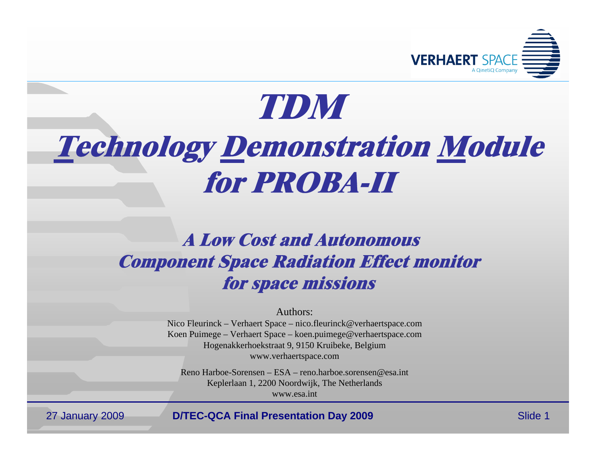

# **TDMTechnology Demonstration Module for PROBA-II**

# **A Low Cost and Autonomous Component Space Radiation Effect monitor for space missions**

Authors:

Nico Fleurinck – Verhaert Space – nico.fleurinck@verhaertspace.com Koen Puimege – Verhaert Space – koen.puimege@verhaertspace.com Hogenakkerhoekstraat 9, 9150 Kruibeke, Belgium www.verhaertspace.com

Reno Harboe-Sorensen – ESA – reno.harboe.sorensen@esa.int Keplerlaan 1, 2200 Noordwijk, The Netherlands www.esa.int

27 January 2009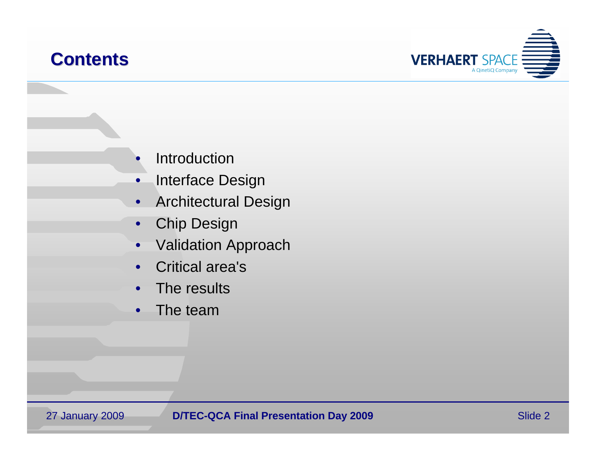### **Contents Contents**



- •• Introduction
- •Interface Design
- $\bullet$ Architectural Design
- •Chip Design
- •Validation Approach
- •Critical area's
- •• The results
- •The team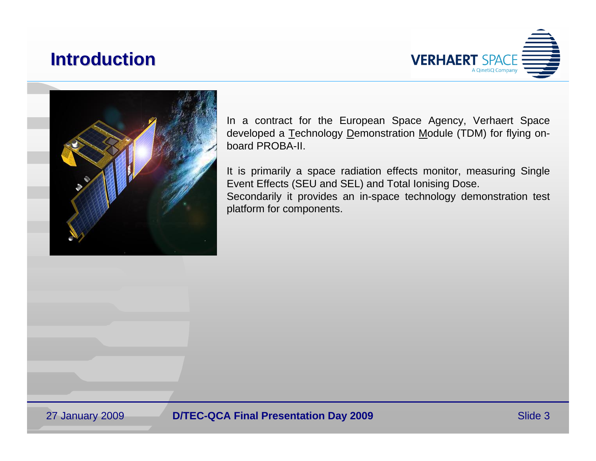### **Introduction Introduction**





In a contract for the European Space Agency, Verhaert Space developed a Technology Demonstration Module (TDM) for flying onboard PROBA-II.

It is primarily a space radiation effects monitor, measuring Single Event Effects (SEU and SEL) and Total Ionising Dose. Secondarily it provides an in-space technology demonstration test platform for components.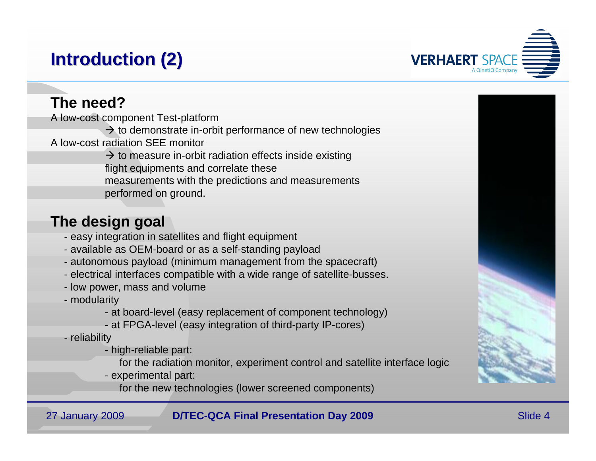# **Introduction (2) Introduction (2)**



### **The need?**

A low-cost component Test-platform

 $\rightarrow$  to demonstrate in-orbit performance of new technologies

A low-cost radiation SEE monitor

 $\rightarrow$  to measure in-orbit radiation effects inside existing flight equipments and correlate these measurements with the predictions and measurements performed on ground.

### **The design goal**

- easy integration in satellites and flight equipment
- available as OEM-board or as a self-standing payload
- autonomous payload (minimum management from the spacecraft)
- electrical interfaces compatible with a wide range of satellite-busses.
- low power, mass and volume
- modularity
	- at board-level (easy replacement of component technology)
	- at FPGA-level (easy integration of third-party IP-cores)
- reliability
	- high-reliable part:
		- for the radiation monitor, experiment control and satellite interface logic
	- experimental part:
		- for the new technologies (lower screened components)

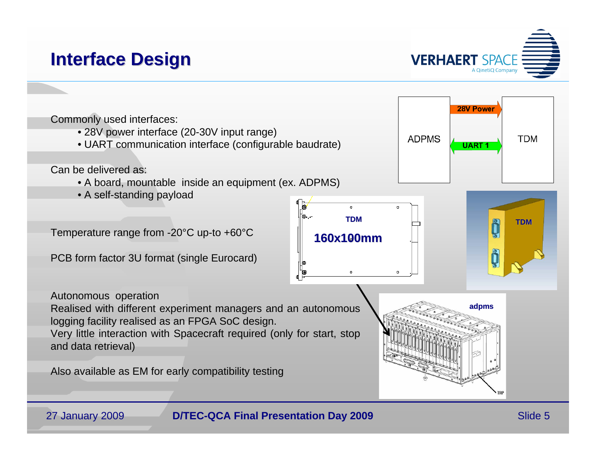# **Interface Design Interface Design**

27 January 2009

**VERHAERT SPAC** 

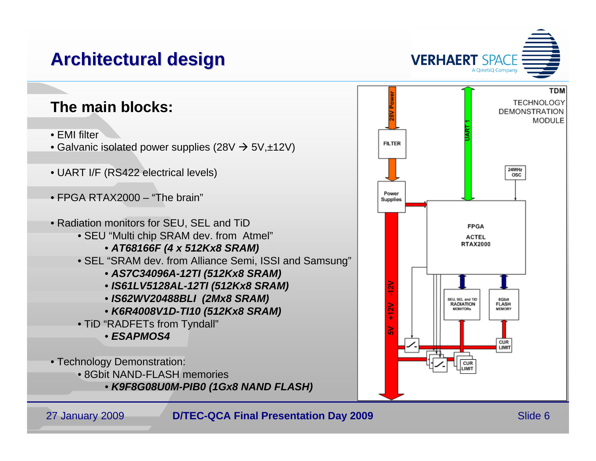# **Architectural design Architectural design**



- EMI filter
- $\bullet$  Galvanic isolated power supplies (28V  $\to$  5V,±12V)
- UART I/F (RS422 electrical levels)
- FPGA RTAX2000 "The brain"
- Radiation monitors for SEU, SEL and TiD
	- SEU "Multi chip SRAM dev. from Atmel"
		- *AT68166F (4 x 512Kx8 SRAM)*
	- SEL "SRAM dev. from Alliance Semi, ISSI and Samsung"
		- *AS7C34096A-12TI (512Kx8 SRAM)*
		- *IS61LV5128AL-12TI (512Kx8 SRAM)*
		- *IS62WV20488BLI (2Mx8 SRAM)*
		- *K6R4008V1D-TI10 (512Kx8 SRAM)*
	- TiD "RADFETs from Tyndall"
		- *ESAPMOS4*
- Technology Demonstration:
	- 8Gbit NAND-FLASH memories
		- *K9F8G08U0M-PIB0 (1Gx8 NAND FLASH)*



**VERHAERT SPACE**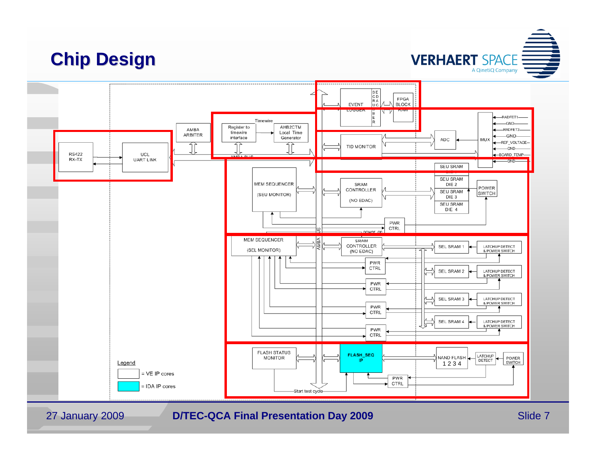# **Chip Design Chip Design**



#### 27 January 2009

**D/TEC-QCA Final Presentation Day 2009** Slide 7

**VERHAERT SPACE**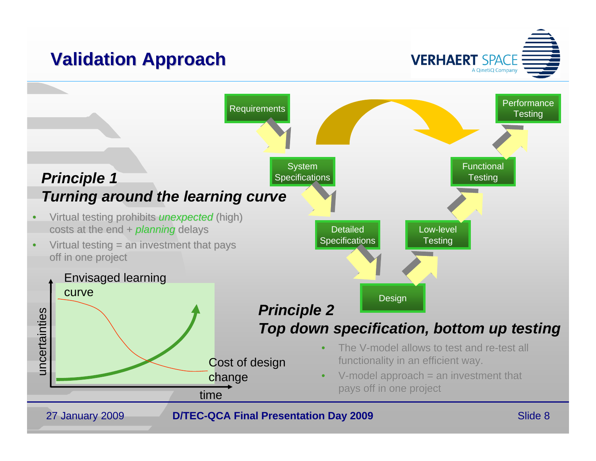# **Validation Approach Validation Approach**

**VERHAERT SPACE** A QinetiQ Company

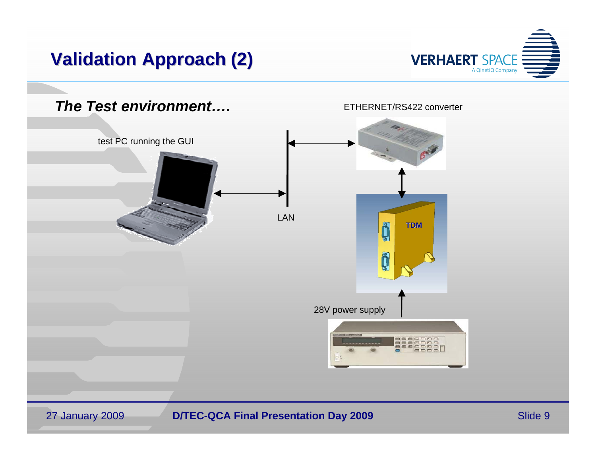# **Validation Approach (2) Validation Approach (2)**

27 January 2009



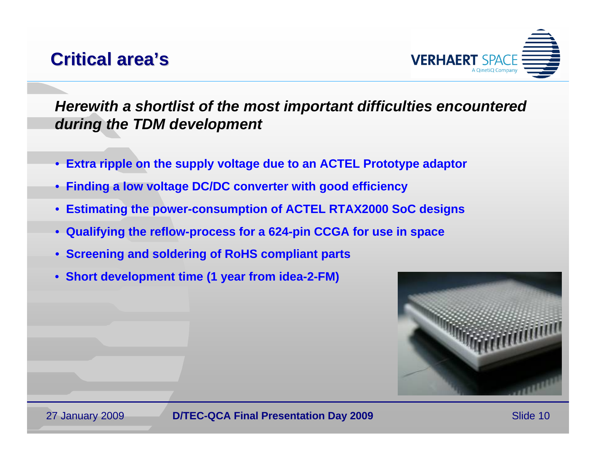## **Critical area Critical area's**



*Herewith a shortlist of the most important difficulties encountered during the TDM development*

- **Extra ripple on the supply voltage due to an ACTEL Prototype adaptor**
- **Finding a low voltage DC/DC converter with good efficiency**
- **Estimating the power-consumption of ACTEL RTAX2000 SoC designs**
- **Qualifying the reflow-process for a 624-pin CCGA for use in space**
- **Screening and soldering of RoHS compliant parts**
- **Short development time (1 year from idea-2-FM)**

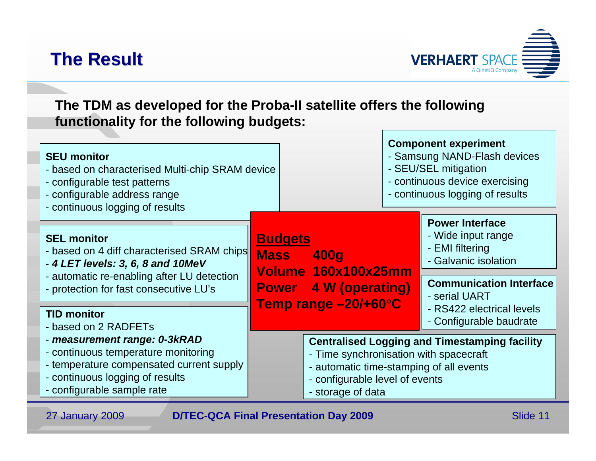# **The Result The Result**

27 January 2009



**The TDM as developed for the Proba-II satellite offers the following functionality for the following budgets:**

| <b>SEU monitor</b><br>- based on characterised Multi-chip SRAM device<br>- configurable test patterns<br>- configurable address range<br>- continuous logging of results                      |                               |                                                                                                                                                                                                  | <b>Component experiment</b><br>- Samsung NAND-Flash devices<br>- SEU/SEL mitigation<br>- continuous device exercising<br>- continuous logging of results                |  |
|-----------------------------------------------------------------------------------------------------------------------------------------------------------------------------------------------|-------------------------------|--------------------------------------------------------------------------------------------------------------------------------------------------------------------------------------------------|-------------------------------------------------------------------------------------------------------------------------------------------------------------------------|--|
| <b>SEL monitor</b><br>- based on 4 diff characterised SRAM chips<br>- 4 LET levels: 3, 6, 8 and 10MeV<br>- automatic re-enabling after LU detection<br>- protection for fast consecutive LU's | <b>Budgets</b><br><b>Mass</b> | <b>400g</b><br>Volume 160x100x25mm<br><b>Power</b> 4 W (operating)<br>Temp range -20/+60°C                                                                                                       | <b>Power Interface</b><br>- Wide input range<br>- EMI filtering<br>- Galvanic isolation<br><b>Communication Interface</b><br>- serial UART<br>- RS422 electrical levels |  |
| <b>TID monitor</b><br>- based on 2 RADFETs                                                                                                                                                    |                               |                                                                                                                                                                                                  | - Configurable baudrate                                                                                                                                                 |  |
| - measurement range: 0-3kRAD<br>- continuous temperature monitoring<br>- temperature compensated current supply<br>- continuous logging of results<br>- configurable sample rate              |                               | <b>Centralised Logging and Timestamping facility</b><br>- Time synchronisation with spacecraft<br>- automatic time-stamping of all events<br>- configurable level of events<br>- storage of data |                                                                                                                                                                         |  |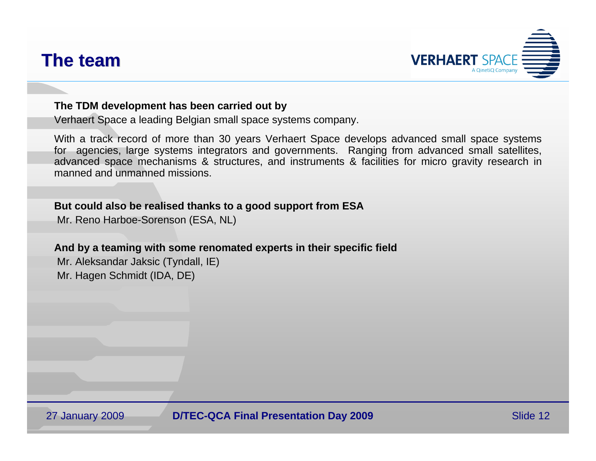### **The team The team**



#### **The TDM development has been carried out by**

Verhaert Space <sup>a</sup> leading Belgian small space systems company.

With a track record of more than 30 years Verhaert Space develops advanced small space systems for agencies, large systems integrators and governments. Ranging from advanced small satellites, advanced space mechanisms & structures, and instruments & facilities for micro gravity research in manned and unmanned missions.

#### **But could also be realised thanks to a good support from ESA**

Mr. Reno Harboe-Sorenson (ESA, NL)

#### **And by a teaming with some renomated experts in their specific field**

Mr. Aleksandar Jaksic (Tyndall, IE) Mr. Hagen Schmidt (IDA, DE)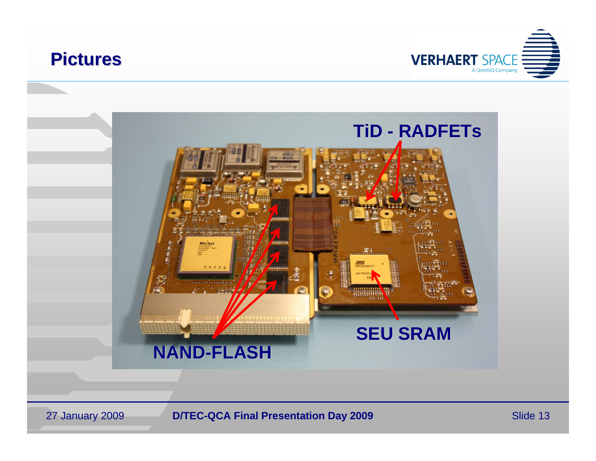

27 January 2009



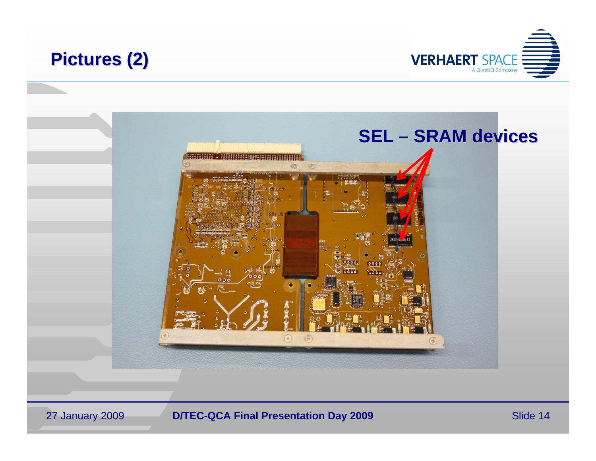

27 January 2009



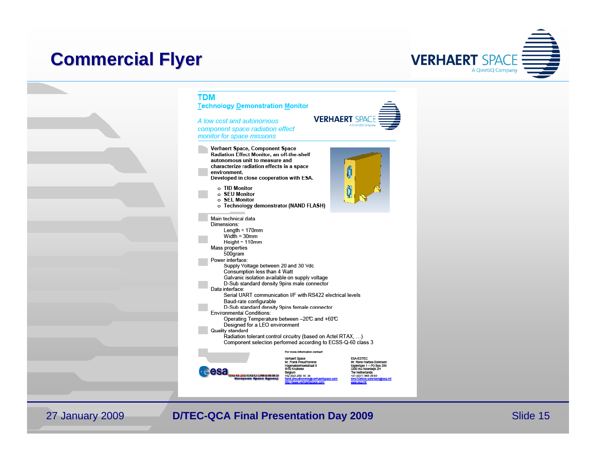### **Commercial Flyer Commercial Flyer**



#### **TDM**

**Technology Demonstration Monitor** 

A low cost and autonomous component space radiation effect monitor for space missions

- **VERHAERT SPAC** A Cinetia Compa
- Verhaert Space, Component Space Radiation Effect Monitor, an off-the-shelf autonomous unit to measure and characterize radiation effects in a space environment. Developed in close cooperation with ESA. o TID Monitor  $\circ$  SEU Monitor o SEL Monitor o Technology demonstrator (NAND FLASH) Main technical data Dimensions: Length =  $170$ mm Width =  $30$ mm Height =  $110$ mm Mass properties 500gram Power interface: Supply Voltage between 20 and 30 Vdc Consumption less than 4 Watt Galvanic isolation available on supply voltage D-Sub standard density 9pins male connector Data interface:
	- Serial UART communication I/F with RS422 electrical levels Baud-rate configurable D-Sub standard density 9pins female connector
	- **Environmental Conditions:**
	- Operating Temperature between -20℃ and +60℃ Designed for a LEO environment Quality standard
	- Radiation tolerant control circuitry (based on Actel RTAX, ...) Component selection performed according to ECSS-Q-60 class 3
		- For more information contact:
- esa
	- Verhaert Space<br>Mr. Frank Preud'homme Mil. Train Preud Romane<br>Hogenakkerhoekstraat 9<br>9150 Kruibeke Belgium ,,,,,,,,,,,,,,, +32 (0)3 250 14 34
- ESA-ESTEC<br>Mr. Reno Harboe-Sorensen Kepleriaan 1 - PO Box 299<br>2200 AG Noordwijk ZH The Netherlands<br>+31 (0)71 565 38 83

27 January 2009